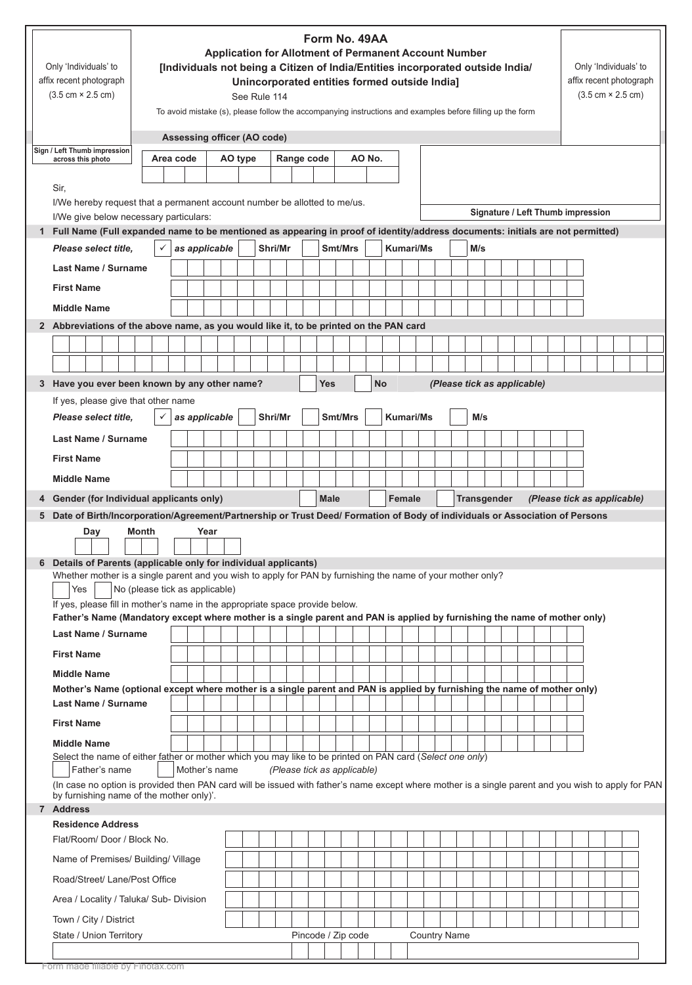|                                                                                                                                                                                                                                                             | Only 'Individuals' to<br>affix recent photograph<br>$(3.5 \text{ cm} \times 2.5 \text{ cm})$<br>Sign / Left Thumb impression                                                                    |                                              | Form No. 49AA<br><b>Application for Allotment of Permanent Account Number</b><br>[Individuals not being a Citizen of India/Entities incorporated outside India/<br>Unincorporated entities formed outside India]<br>See Rule 114<br>To avoid mistake (s), please follow the accompanying instructions and examples before filling up the form<br>Assessing officer (AO code) |  |               |         |  |  |         |            |  |  |                    |  |                             | Only 'Individuals' to<br>affix recent photograph<br>$(3.5 \text{ cm} \times 2.5 \text{ cm})$ |  |                  |                     |  |     |  |  |  |  |  |  |  |  |  |  |  |
|-------------------------------------------------------------------------------------------------------------------------------------------------------------------------------------------------------------------------------------------------------------|-------------------------------------------------------------------------------------------------------------------------------------------------------------------------------------------------|----------------------------------------------|------------------------------------------------------------------------------------------------------------------------------------------------------------------------------------------------------------------------------------------------------------------------------------------------------------------------------------------------------------------------------|--|---------------|---------|--|--|---------|------------|--|--|--------------------|--|-----------------------------|----------------------------------------------------------------------------------------------|--|------------------|---------------------|--|-----|--|--|--|--|--|--|--|--|--|--|--|
|                                                                                                                                                                                                                                                             | across this photo                                                                                                                                                                               | AO No.<br>Area code<br>AO type<br>Range code |                                                                                                                                                                                                                                                                                                                                                                              |  |               |         |  |  |         |            |  |  |                    |  |                             |                                                                                              |  |                  |                     |  |     |  |  |  |  |  |  |  |  |  |  |  |
|                                                                                                                                                                                                                                                             | Sir,                                                                                                                                                                                            |                                              |                                                                                                                                                                                                                                                                                                                                                                              |  |               |         |  |  |         |            |  |  |                    |  |                             |                                                                                              |  |                  |                     |  |     |  |  |  |  |  |  |  |  |  |  |  |
|                                                                                                                                                                                                                                                             | I/We hereby request that a permanent account number be allotted to me/us.<br>Signature / Left Thumb impression<br>I/We give below necessary particulars:                                        |                                              |                                                                                                                                                                                                                                                                                                                                                                              |  |               |         |  |  |         |            |  |  |                    |  |                             |                                                                                              |  |                  |                     |  |     |  |  |  |  |  |  |  |  |  |  |  |
|                                                                                                                                                                                                                                                             | Full Name (Full expanded name to be mentioned as appearing in proof of identity/address documents: initials are not permitted)<br>1.                                                            |                                              |                                                                                                                                                                                                                                                                                                                                                                              |  |               |         |  |  |         |            |  |  |                    |  |                             |                                                                                              |  |                  |                     |  |     |  |  |  |  |  |  |  |  |  |  |  |
|                                                                                                                                                                                                                                                             | Please select title.                                                                                                                                                                            |                                              |                                                                                                                                                                                                                                                                                                                                                                              |  | as applicable |         |  |  | Shri/Mr |            |  |  | Smt/Mrs            |  |                             |                                                                                              |  | <b>Kumari/Ms</b> |                     |  | M/s |  |  |  |  |  |  |  |  |  |  |  |
|                                                                                                                                                                                                                                                             | Last Name / Surname                                                                                                                                                                             |                                              |                                                                                                                                                                                                                                                                                                                                                                              |  |               |         |  |  |         |            |  |  |                    |  |                             |                                                                                              |  |                  |                     |  |     |  |  |  |  |  |  |  |  |  |  |  |
|                                                                                                                                                                                                                                                             | <b>First Name</b>                                                                                                                                                                               |                                              |                                                                                                                                                                                                                                                                                                                                                                              |  |               |         |  |  |         |            |  |  |                    |  |                             |                                                                                              |  |                  |                     |  |     |  |  |  |  |  |  |  |  |  |  |  |
|                                                                                                                                                                                                                                                             | <b>Middle Name</b>                                                                                                                                                                              |                                              |                                                                                                                                                                                                                                                                                                                                                                              |  |               |         |  |  |         |            |  |  |                    |  |                             |                                                                                              |  |                  |                     |  |     |  |  |  |  |  |  |  |  |  |  |  |
|                                                                                                                                                                                                                                                             | 2 Abbreviations of the above name, as you would like it, to be printed on the PAN card                                                                                                          |                                              |                                                                                                                                                                                                                                                                                                                                                                              |  |               |         |  |  |         |            |  |  |                    |  |                             |                                                                                              |  |                  |                     |  |     |  |  |  |  |  |  |  |  |  |  |  |
|                                                                                                                                                                                                                                                             |                                                                                                                                                                                                 |                                              |                                                                                                                                                                                                                                                                                                                                                                              |  |               |         |  |  |         |            |  |  |                    |  |                             |                                                                                              |  |                  |                     |  |     |  |  |  |  |  |  |  |  |  |  |  |
|                                                                                                                                                                                                                                                             |                                                                                                                                                                                                 |                                              |                                                                                                                                                                                                                                                                                                                                                                              |  |               |         |  |  |         |            |  |  |                    |  |                             |                                                                                              |  |                  |                     |  |     |  |  |  |  |  |  |  |  |  |  |  |
|                                                                                                                                                                                                                                                             | 3 Have you ever been known by any other name?                                                                                                                                                   |                                              |                                                                                                                                                                                                                                                                                                                                                                              |  |               |         |  |  |         | <b>Yes</b> |  |  | <b>No</b>          |  | (Please tick as applicable) |                                                                                              |  |                  |                     |  |     |  |  |  |  |  |  |  |  |  |  |  |
|                                                                                                                                                                                                                                                             | If yes, please give that other name                                                                                                                                                             |                                              |                                                                                                                                                                                                                                                                                                                                                                              |  |               |         |  |  |         |            |  |  |                    |  |                             |                                                                                              |  |                  |                     |  |     |  |  |  |  |  |  |  |  |  |  |  |
|                                                                                                                                                                                                                                                             | Please select title,<br>as applicable                                                                                                                                                           |                                              |                                                                                                                                                                                                                                                                                                                                                                              |  |               | Shri/Mr |  |  |         | Smt/Mrs    |  |  |                    |  | <b>Kumari/Ms</b>            |                                                                                              |  | M/s              |                     |  |     |  |  |  |  |  |  |  |  |  |  |  |
|                                                                                                                                                                                                                                                             | Last Name / Surname                                                                                                                                                                             |                                              |                                                                                                                                                                                                                                                                                                                                                                              |  |               |         |  |  |         |            |  |  |                    |  |                             |                                                                                              |  |                  |                     |  |     |  |  |  |  |  |  |  |  |  |  |  |
|                                                                                                                                                                                                                                                             | <b>First Name</b>                                                                                                                                                                               |                                              |                                                                                                                                                                                                                                                                                                                                                                              |  |               |         |  |  |         |            |  |  |                    |  |                             |                                                                                              |  |                  |                     |  |     |  |  |  |  |  |  |  |  |  |  |  |
|                                                                                                                                                                                                                                                             | <b>Middle Name</b>                                                                                                                                                                              |                                              |                                                                                                                                                                                                                                                                                                                                                                              |  |               |         |  |  |         |            |  |  |                    |  |                             |                                                                                              |  |                  |                     |  |     |  |  |  |  |  |  |  |  |  |  |  |
|                                                                                                                                                                                                                                                             |                                                                                                                                                                                                 |                                              |                                                                                                                                                                                                                                                                                                                                                                              |  |               |         |  |  |         |            |  |  |                    |  |                             |                                                                                              |  |                  |                     |  |     |  |  |  |  |  |  |  |  |  |  |  |
| Gender (for Individual applicants only)<br><b>Male</b><br>Female<br><b>Transgender</b><br>(Please tick as applicable)<br>4<br>5 Date of Birth/Incorporation/Agreement/Partnership or Trust Deed/ Formation of Body of individuals or Association of Persons |                                                                                                                                                                                                 |                                              |                                                                                                                                                                                                                                                                                                                                                                              |  |               |         |  |  |         |            |  |  |                    |  |                             |                                                                                              |  |                  |                     |  |     |  |  |  |  |  |  |  |  |  |  |  |
|                                                                                                                                                                                                                                                             | Day                                                                                                                                                                                             | Month                                        |                                                                                                                                                                                                                                                                                                                                                                              |  | Year          |         |  |  |         |            |  |  |                    |  |                             |                                                                                              |  |                  |                     |  |     |  |  |  |  |  |  |  |  |  |  |  |
|                                                                                                                                                                                                                                                             |                                                                                                                                                                                                 |                                              |                                                                                                                                                                                                                                                                                                                                                                              |  |               |         |  |  |         |            |  |  |                    |  |                             |                                                                                              |  |                  |                     |  |     |  |  |  |  |  |  |  |  |  |  |  |
|                                                                                                                                                                                                                                                             | Details of Parents (applicable only for individual applicants)<br>6<br>Whether mother is a single parent and you wish to apply for PAN by furnishing the name of your mother only?              |                                              |                                                                                                                                                                                                                                                                                                                                                                              |  |               |         |  |  |         |            |  |  |                    |  |                             |                                                                                              |  |                  |                     |  |     |  |  |  |  |  |  |  |  |  |  |  |
|                                                                                                                                                                                                                                                             | Yes                                                                                                                                                                                             | No (please tick as applicable)               |                                                                                                                                                                                                                                                                                                                                                                              |  |               |         |  |  |         |            |  |  |                    |  |                             |                                                                                              |  |                  |                     |  |     |  |  |  |  |  |  |  |  |  |  |  |
|                                                                                                                                                                                                                                                             | If yes, please fill in mother's name in the appropriate space provide below.                                                                                                                    |                                              |                                                                                                                                                                                                                                                                                                                                                                              |  |               |         |  |  |         |            |  |  |                    |  |                             |                                                                                              |  |                  |                     |  |     |  |  |  |  |  |  |  |  |  |  |  |
|                                                                                                                                                                                                                                                             | Father's Name (Mandatory except where mother is a single parent and PAN is applied by furnishing the name of mother only)                                                                       |                                              |                                                                                                                                                                                                                                                                                                                                                                              |  |               |         |  |  |         |            |  |  |                    |  |                             |                                                                                              |  |                  |                     |  |     |  |  |  |  |  |  |  |  |  |  |  |
|                                                                                                                                                                                                                                                             | Last Name / Surname                                                                                                                                                                             |                                              |                                                                                                                                                                                                                                                                                                                                                                              |  |               |         |  |  |         |            |  |  |                    |  |                             |                                                                                              |  |                  |                     |  |     |  |  |  |  |  |  |  |  |  |  |  |
|                                                                                                                                                                                                                                                             | <b>First Name</b>                                                                                                                                                                               |                                              |                                                                                                                                                                                                                                                                                                                                                                              |  |               |         |  |  |         |            |  |  |                    |  |                             |                                                                                              |  |                  |                     |  |     |  |  |  |  |  |  |  |  |  |  |  |
|                                                                                                                                                                                                                                                             | <b>Middle Name</b><br>Mother's Name (optional except where mother is a single parent and PAN is applied by furnishing the name of mother only)                                                  |                                              |                                                                                                                                                                                                                                                                                                                                                                              |  |               |         |  |  |         |            |  |  |                    |  |                             |                                                                                              |  |                  |                     |  |     |  |  |  |  |  |  |  |  |  |  |  |
|                                                                                                                                                                                                                                                             | <b>Last Name / Surname</b>                                                                                                                                                                      |                                              |                                                                                                                                                                                                                                                                                                                                                                              |  |               |         |  |  |         |            |  |  |                    |  |                             |                                                                                              |  |                  |                     |  |     |  |  |  |  |  |  |  |  |  |  |  |
|                                                                                                                                                                                                                                                             | <b>First Name</b>                                                                                                                                                                               |                                              |                                                                                                                                                                                                                                                                                                                                                                              |  |               |         |  |  |         |            |  |  |                    |  |                             |                                                                                              |  |                  |                     |  |     |  |  |  |  |  |  |  |  |  |  |  |
|                                                                                                                                                                                                                                                             | <b>Middle Name</b>                                                                                                                                                                              |                                              |                                                                                                                                                                                                                                                                                                                                                                              |  |               |         |  |  |         |            |  |  |                    |  |                             |                                                                                              |  |                  |                     |  |     |  |  |  |  |  |  |  |  |  |  |  |
| Select the name of either father or mother which you may like to be printed on PAN card (Select one only)<br>Father's name<br>Mother's name<br>(Please tick as applicable)                                                                                  |                                                                                                                                                                                                 |                                              |                                                                                                                                                                                                                                                                                                                                                                              |  |               |         |  |  |         |            |  |  |                    |  |                             |                                                                                              |  |                  |                     |  |     |  |  |  |  |  |  |  |  |  |  |  |
|                                                                                                                                                                                                                                                             | (In case no option is provided then PAN card will be issued with father's name except where mother is a single parent and you wish to apply for PAN<br>by furnishing name of the mother only)'. |                                              |                                                                                                                                                                                                                                                                                                                                                                              |  |               |         |  |  |         |            |  |  |                    |  |                             |                                                                                              |  |                  |                     |  |     |  |  |  |  |  |  |  |  |  |  |  |
|                                                                                                                                                                                                                                                             | 7 Address<br><b>Residence Address</b>                                                                                                                                                           |                                              |                                                                                                                                                                                                                                                                                                                                                                              |  |               |         |  |  |         |            |  |  |                    |  |                             |                                                                                              |  |                  |                     |  |     |  |  |  |  |  |  |  |  |  |  |  |
| Flat/Room/Door / Block No.                                                                                                                                                                                                                                  |                                                                                                                                                                                                 |                                              |                                                                                                                                                                                                                                                                                                                                                                              |  |               |         |  |  |         |            |  |  |                    |  |                             |                                                                                              |  |                  |                     |  |     |  |  |  |  |  |  |  |  |  |  |  |
| Name of Premises/ Building/ Village                                                                                                                                                                                                                         |                                                                                                                                                                                                 |                                              |                                                                                                                                                                                                                                                                                                                                                                              |  |               |         |  |  |         |            |  |  |                    |  |                             |                                                                                              |  |                  |                     |  |     |  |  |  |  |  |  |  |  |  |  |  |
| Road/Street/ Lane/Post Office                                                                                                                                                                                                                               |                                                                                                                                                                                                 |                                              |                                                                                                                                                                                                                                                                                                                                                                              |  |               |         |  |  |         |            |  |  |                    |  |                             |                                                                                              |  |                  |                     |  |     |  |  |  |  |  |  |  |  |  |  |  |
| Area / Locality / Taluka/ Sub- Division                                                                                                                                                                                                                     |                                                                                                                                                                                                 |                                              |                                                                                                                                                                                                                                                                                                                                                                              |  |               |         |  |  |         |            |  |  |                    |  |                             |                                                                                              |  |                  |                     |  |     |  |  |  |  |  |  |  |  |  |  |  |
| Town / City / District                                                                                                                                                                                                                                      |                                                                                                                                                                                                 |                                              |                                                                                                                                                                                                                                                                                                                                                                              |  |               |         |  |  |         |            |  |  |                    |  |                             |                                                                                              |  |                  |                     |  |     |  |  |  |  |  |  |  |  |  |  |  |
|                                                                                                                                                                                                                                                             | State / Union Territory                                                                                                                                                                         |                                              |                                                                                                                                                                                                                                                                                                                                                                              |  |               |         |  |  |         |            |  |  | Pincode / Zip code |  |                             |                                                                                              |  |                  | <b>Country Name</b> |  |     |  |  |  |  |  |  |  |  |  |  |  |
|                                                                                                                                                                                                                                                             |                                                                                                                                                                                                 |                                              |                                                                                                                                                                                                                                                                                                                                                                              |  |               |         |  |  |         |            |  |  |                    |  |                             |                                                                                              |  |                  |                     |  |     |  |  |  |  |  |  |  |  |  |  |  |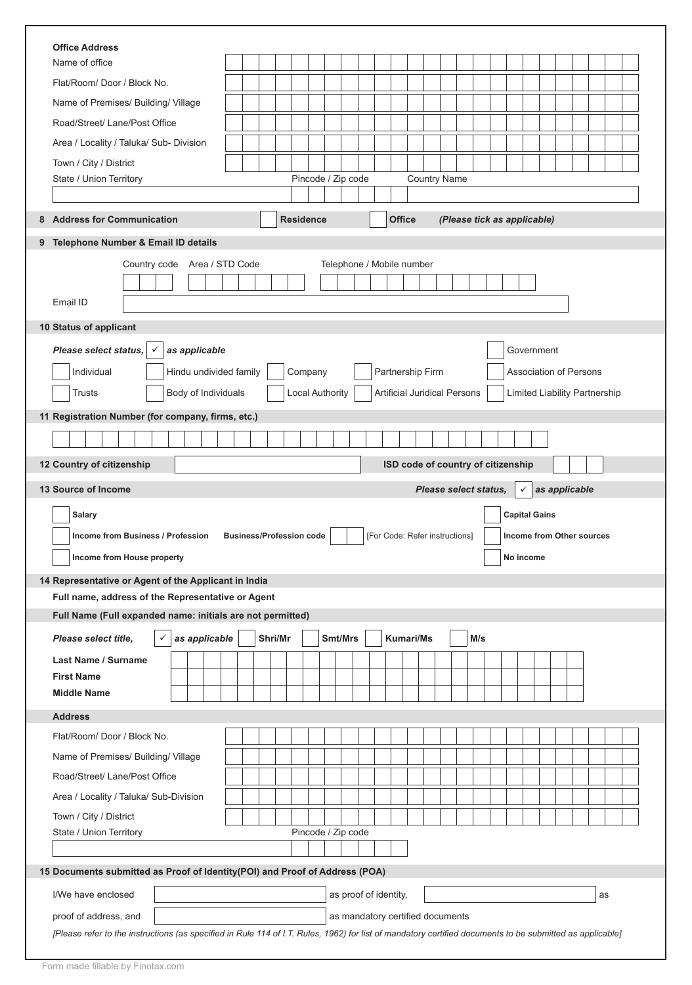| <b>Office Address</b>                                                                                                                                                              |                                                                    |  |  |  |  |  |  |  |  |  |
|------------------------------------------------------------------------------------------------------------------------------------------------------------------------------------|--------------------------------------------------------------------|--|--|--|--|--|--|--|--|--|
| Name of office                                                                                                                                                                     |                                                                    |  |  |  |  |  |  |  |  |  |
| Flat/Room/ Door / Block No.                                                                                                                                                        |                                                                    |  |  |  |  |  |  |  |  |  |
| Name of Premises/ Building/ Village                                                                                                                                                |                                                                    |  |  |  |  |  |  |  |  |  |
| Road/Street/ Lane/Post Office                                                                                                                                                      |                                                                    |  |  |  |  |  |  |  |  |  |
| Area / Locality / Taluka/ Sub- Division                                                                                                                                            |                                                                    |  |  |  |  |  |  |  |  |  |
| Town / City / District                                                                                                                                                             |                                                                    |  |  |  |  |  |  |  |  |  |
| Pincode / Zip code<br>State / Union Territory                                                                                                                                      | <b>Country Name</b>                                                |  |  |  |  |  |  |  |  |  |
|                                                                                                                                                                                    |                                                                    |  |  |  |  |  |  |  |  |  |
| <b>Residence</b><br><b>Address for Communication</b><br>8                                                                                                                          | <b>Office</b><br>(Please tick as applicable)                       |  |  |  |  |  |  |  |  |  |
| 9 Telephone Number & Email ID details                                                                                                                                              |                                                                    |  |  |  |  |  |  |  |  |  |
| Country code Area / STD Code                                                                                                                                                       | Telephone / Mobile number                                          |  |  |  |  |  |  |  |  |  |
|                                                                                                                                                                                    |                                                                    |  |  |  |  |  |  |  |  |  |
| Email ID                                                                                                                                                                           |                                                                    |  |  |  |  |  |  |  |  |  |
|                                                                                                                                                                                    |                                                                    |  |  |  |  |  |  |  |  |  |
| 10 Status of applicant                                                                                                                                                             |                                                                    |  |  |  |  |  |  |  |  |  |
| Please select status,<br>as applicable                                                                                                                                             | Government                                                         |  |  |  |  |  |  |  |  |  |
| Individual<br>Hindu undivided family<br>Company                                                                                                                                    | Partnership Firm<br><b>Association of Persons</b>                  |  |  |  |  |  |  |  |  |  |
| <b>Local Authority</b><br>Body of Individuals<br>Trusts                                                                                                                            | Artificial Juridical Persons<br>Limited Liability Partnership      |  |  |  |  |  |  |  |  |  |
|                                                                                                                                                                                    |                                                                    |  |  |  |  |  |  |  |  |  |
| 11 Registration Number (for company, firms, etc.)                                                                                                                                  |                                                                    |  |  |  |  |  |  |  |  |  |
|                                                                                                                                                                                    |                                                                    |  |  |  |  |  |  |  |  |  |
| 12 Country of citizenship                                                                                                                                                          | ISD code of country of citizenship                                 |  |  |  |  |  |  |  |  |  |
| 13 Source of Income                                                                                                                                                                | Please select status,<br>as applicable                             |  |  |  |  |  |  |  |  |  |
|                                                                                                                                                                                    |                                                                    |  |  |  |  |  |  |  |  |  |
|                                                                                                                                                                                    |                                                                    |  |  |  |  |  |  |  |  |  |
| <b>Salary</b>                                                                                                                                                                      | <b>Capital Gains</b>                                               |  |  |  |  |  |  |  |  |  |
| Income from Business / Profession<br><b>Business/Profession code</b>                                                                                                               | [For Code: Refer instructions]<br><b>Income from Other sources</b> |  |  |  |  |  |  |  |  |  |
| Income from House property                                                                                                                                                         | No income                                                          |  |  |  |  |  |  |  |  |  |
|                                                                                                                                                                                    |                                                                    |  |  |  |  |  |  |  |  |  |
| 14 Representative or Agent of the Applicant in India                                                                                                                               |                                                                    |  |  |  |  |  |  |  |  |  |
| Full name, address of the Representative or Agent                                                                                                                                  |                                                                    |  |  |  |  |  |  |  |  |  |
| Full Name (Full expanded name: initials are not permitted)                                                                                                                         |                                                                    |  |  |  |  |  |  |  |  |  |
| as applicable<br>Shri/Mr<br>Smt/Mrs<br>Please select title,<br>$\checkmark$                                                                                                        | <b>Kumari/Ms</b><br>M/s                                            |  |  |  |  |  |  |  |  |  |
| <b>Last Name / Surname</b>                                                                                                                                                         |                                                                    |  |  |  |  |  |  |  |  |  |
| <b>First Name</b>                                                                                                                                                                  |                                                                    |  |  |  |  |  |  |  |  |  |
| <b>Middle Name</b>                                                                                                                                                                 |                                                                    |  |  |  |  |  |  |  |  |  |
| <b>Address</b>                                                                                                                                                                     |                                                                    |  |  |  |  |  |  |  |  |  |
| Flat/Room/Door / Block No.                                                                                                                                                         |                                                                    |  |  |  |  |  |  |  |  |  |
|                                                                                                                                                                                    |                                                                    |  |  |  |  |  |  |  |  |  |
| Name of Premises/ Building/ Village                                                                                                                                                |                                                                    |  |  |  |  |  |  |  |  |  |
| Road/Street/ Lane/Post Office                                                                                                                                                      |                                                                    |  |  |  |  |  |  |  |  |  |
| Area / Locality / Taluka/ Sub-Division                                                                                                                                             |                                                                    |  |  |  |  |  |  |  |  |  |
| Town / City / District                                                                                                                                                             |                                                                    |  |  |  |  |  |  |  |  |  |
| Pincode / Zip code<br>State / Union Territory                                                                                                                                      |                                                                    |  |  |  |  |  |  |  |  |  |
|                                                                                                                                                                                    |                                                                    |  |  |  |  |  |  |  |  |  |
| 15 Documents submitted as Proof of Identity(POI) and Proof of Address (POA)                                                                                                        |                                                                    |  |  |  |  |  |  |  |  |  |
| I/We have enclosed                                                                                                                                                                 | as proof of identity,<br>as                                        |  |  |  |  |  |  |  |  |  |
|                                                                                                                                                                                    |                                                                    |  |  |  |  |  |  |  |  |  |
| proof of address, and<br>[Please refer to the instructions (as specified in Rule 114 of I.T. Rules, 1962) for list of mandatory certified documents to be submitted as applicable] | as mandatory certified documents                                   |  |  |  |  |  |  |  |  |  |